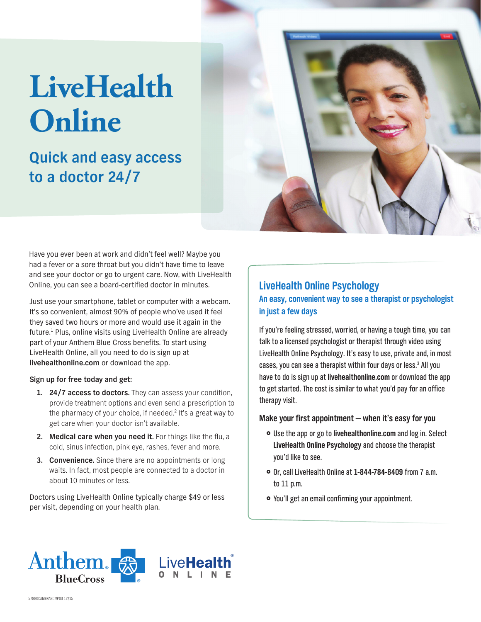# **LiveHealth Online**

# **Quick and easy access to a doctor 24/7**



Have you ever been at work and didn't feel well? Maybe you had a fever or a sore throat but you didn't have time to leave and see your doctor or go to urgent care. Now, with LiveHealth Online, you can see a board-certified doctor in minutes.

Just use your smartphone, tablet or computer with a webcam. It's so convenient, almost 90% of people who've used it feel they saved two hours or more and would use it again in the future.<sup>1</sup> Plus, online visits using LiveHealth Online are already part of your Anthem Blue Cross benefits. To start using LiveHealth Online, all you need to do is sign up at **livehealthonline.com** or download the app.

#### **Sign up for free today and get:**

- **1. 24/7 access to doctors.** They can assess your condition, provide treatment options and even send a prescription to the pharmacy of your choice, if needed.<sup>2</sup> It's a great way to get care when your doctor isn't available.
- 2. Medical care when you need it. For things like the flu, a cold, sinus infection, pink eye, rashes, fever and more.
- **3. Convenience.** Since there are no appointments or long waits. In fact, most people are connected to a doctor in about 10 minutes or less.

Doctors using LiveHealth Online typically charge \$49 or less per visit, depending on your health plan.

# **LiveHealth Online Psychology An easy, convenient way to see a therapist or psychologist in just a few days**

If you're feeling stressed, worried, or having a tough time, you can talk to a licensed psychologist or therapist through video using LiveHealth Online Psychology. It's easy to use, private and, in most cases, you can see a therapist within four days or less.<sup>3</sup> All you have to do is sign up at **livehealthonline.com** or download the app to get started. The cost is similar to what you'd pay for an office therapy visit.

#### **Make your first appointment — when it's easy for you**

- **•** Use the app or go to **livehealthonline.com** and log in. Select **LiveHealth Online Psychology** and choose the therapist you'd like to see.
- }} Or, call LiveHealth Online at **1-844-784-8409** from 7 a.m. to 11 p.m.
- You'll get an email confirming your appointment.